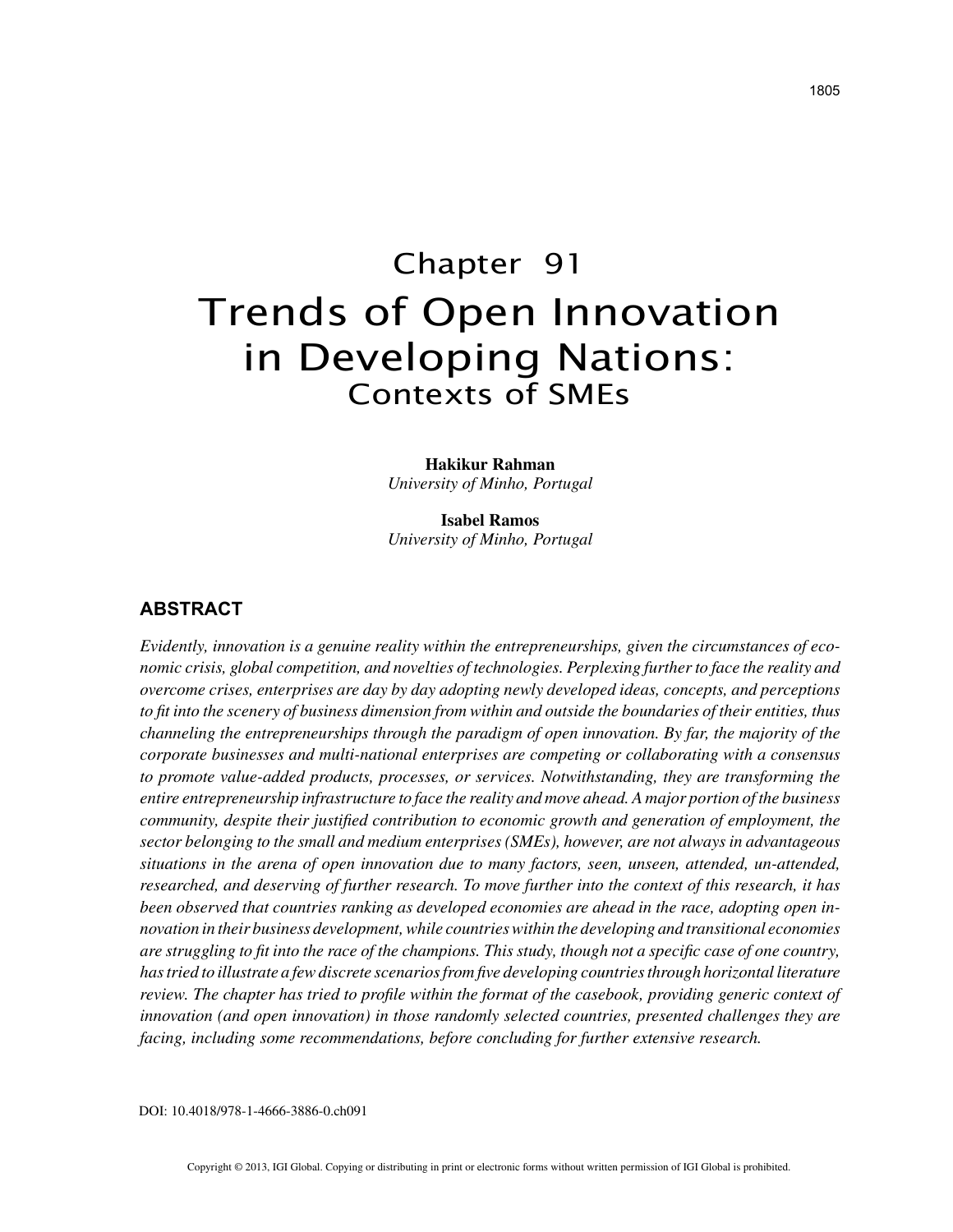# Chapter 91 Trends of Open Innovation in Developing Nations: Contexts of SMEs

#### **Hakikur Rahman**

*University of Minho, Portugal*

**Isabel Ramos** *University of Minho, Portugal*

#### **ABSTRACT**

*Evidently, innovation is a genuine reality within the entrepreneurships, given the circumstances of economic crisis, global competition, and novelties of technologies. Perplexing further to face the reality and overcome crises, enterprises are day by day adopting newly developed ideas, concepts, and perceptions to fit into the scenery of business dimension from within and outside the boundaries of their entities, thus channeling the entrepreneurships through the paradigm of open innovation. By far, the majority of the corporate businesses and multi-national enterprises are competing or collaborating with a consensus to promote value-added products, processes, or services. Notwithstanding, they are transforming the entire entrepreneurship infrastructure to face the reality and move ahead. A major portion of the business community, despite their justified contribution to economic growth and generation of employment, the sector belonging to the small and medium enterprises (SMEs), however, are not always in advantageous situations in the arena of open innovation due to many factors, seen, unseen, attended, un-attended, researched, and deserving of further research. To move further into the context of this research, it has been observed that countries ranking as developed economies are ahead in the race, adopting open innovation in their business development, while countries within the developing and transitional economies are struggling to fit into the race of the champions. This study, though not a specific case of one country, has tried to illustrate a few discrete scenarios from five developing countries through horizontal literature review. The chapter has tried to profile within the format of the casebook, providing generic context of innovation (and open innovation) in those randomly selected countries, presented challenges they are facing, including some recommendations, before concluding for further extensive research.*

DOI: 10.4018/978-1-4666-3886-0.ch091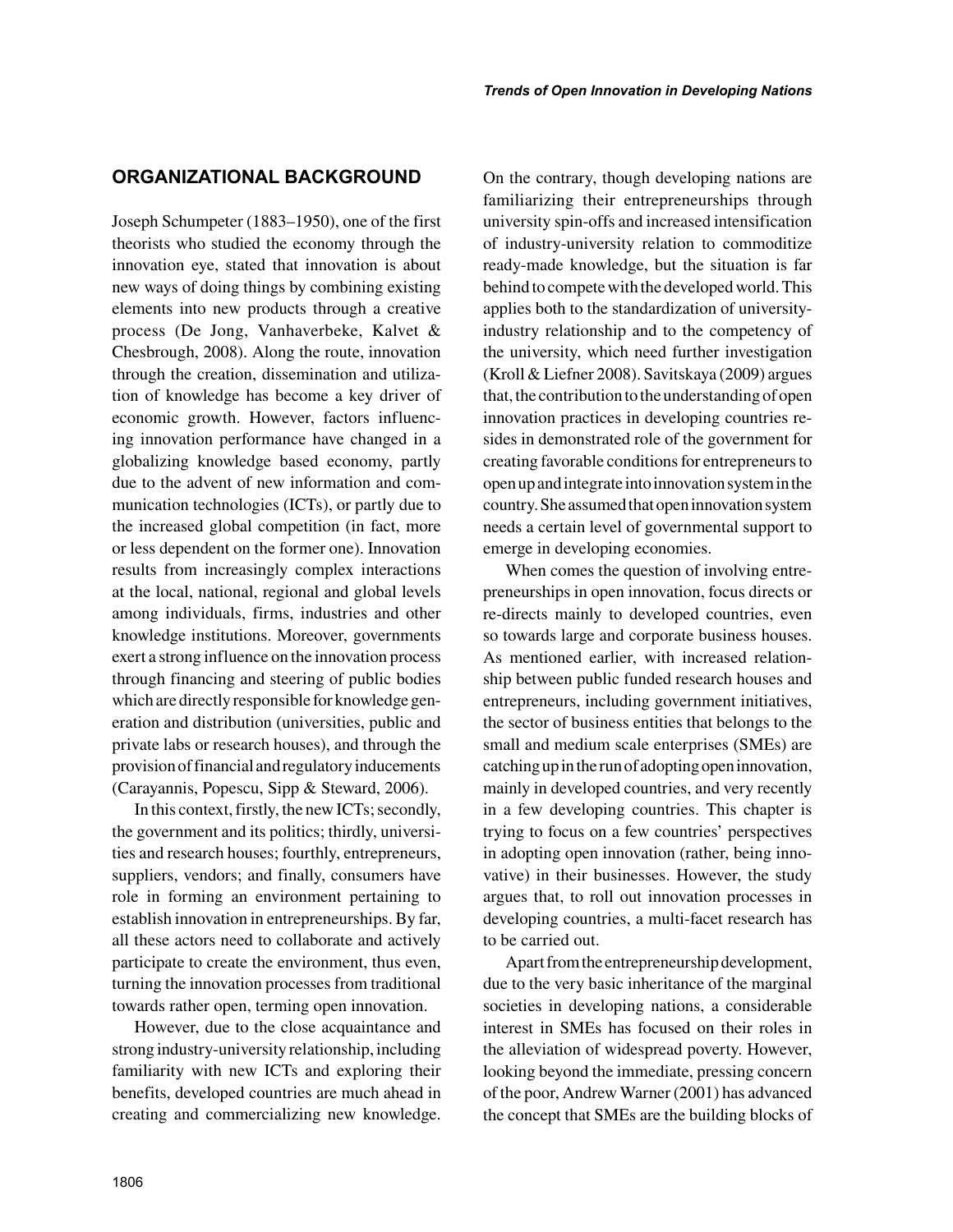## **ORGANIZATIONAL BACKGROUND**

Joseph Schumpeter (1883–1950), one of the first theorists who studied the economy through the innovation eye, stated that innovation is about new ways of doing things by combining existing elements into new products through a creative process (De Jong, Vanhaverbeke, Kalvet & Chesbrough, 2008). Along the route, innovation through the creation, dissemination and utilization of knowledge has become a key driver of economic growth. However, factors influencing innovation performance have changed in a globalizing knowledge based economy, partly due to the advent of new information and communication technologies (ICTs), or partly due to the increased global competition (in fact, more or less dependent on the former one). Innovation results from increasingly complex interactions at the local, national, regional and global levels among individuals, firms, industries and other knowledge institutions. Moreover, governments exert a strong influence on the innovation process through financing and steering of public bodies which are directly responsible for knowledge generation and distribution (universities, public and private labs or research houses), and through the provision of financial and regulatory inducements (Carayannis, Popescu, Sipp & Steward, 2006).

In this context, firstly, the new ICTs; secondly, the government and its politics; thirdly, universities and research houses; fourthly, entrepreneurs, suppliers, vendors; and finally, consumers have role in forming an environment pertaining to establish innovation in entrepreneurships. By far, all these actors need to collaborate and actively participate to create the environment, thus even, turning the innovation processes from traditional towards rather open, terming open innovation.

However, due to the close acquaintance and strong industry-university relationship, including familiarity with new ICTs and exploring their benefits, developed countries are much ahead in creating and commercializing new knowledge. On the contrary, though developing nations are familiarizing their entrepreneurships through university spin-offs and increased intensification of industry-university relation to commoditize ready-made knowledge, but the situation is far behind to compete with the developed world. This applies both to the standardization of universityindustry relationship and to the competency of the university, which need further investigation (Kroll & Liefner 2008). Savitskaya (2009) argues that, the contribution to the understanding of open innovation practices in developing countries resides in demonstrated role of the government for creating favorable conditions for entrepreneurs to open up and integrate into innovation system in the country. She assumed that open innovation system needs a certain level of governmental support to emerge in developing economies.

When comes the question of involving entrepreneurships in open innovation, focus directs or re-directs mainly to developed countries, even so towards large and corporate business houses. As mentioned earlier, with increased relationship between public funded research houses and entrepreneurs, including government initiatives, the sector of business entities that belongs to the small and medium scale enterprises (SMEs) are catching up in the run of adopting open innovation, mainly in developed countries, and very recently in a few developing countries. This chapter is trying to focus on a few countries' perspectives in adopting open innovation (rather, being innovative) in their businesses. However, the study argues that, to roll out innovation processes in developing countries, a multi-facet research has to be carried out.

Apart from the entrepreneurship development, due to the very basic inheritance of the marginal societies in developing nations, a considerable interest in SMEs has focused on their roles in the alleviation of widespread poverty. However, looking beyond the immediate, pressing concern of the poor, Andrew Warner (2001) has advanced the concept that SMEs are the building blocks of